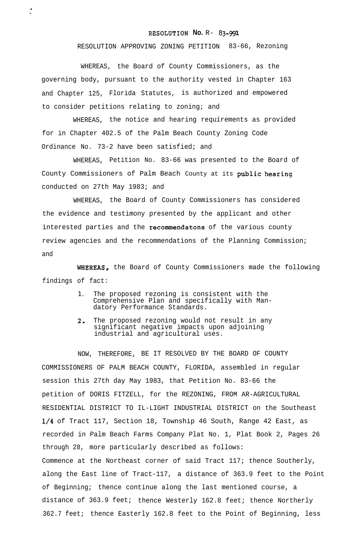## RESOLUTION **No.** R- **83-991**

RESOLUTION APPROVING ZONING PETITION 83-66, Rezoning

WHEREAS, the Board of County Commissioners, as the governing body, pursuant to the authority vested in Chapter 163 and Chapter 125, Florida Statutes, is authorized and empowered to consider petitions relating to zoning; and

WHEREAS, the notice and hearing requirements as provided for in Chapter 402.5 of the Palm Beach County Zoning Code Ordinance No. 73-2 have been satisfied; and

WHEREAS, Petition No. 83-66 was presented to the Board of County Commissioners of Palm Beach County at its public hearing conducted on 27th May 1983; and

WHEREAS, the Board of County Commissioners has considered the evidence and testimony presented by the applicant and other interested parties and the recommendatons of the various county review agencies and the recommendations of the Planning Commission; and

WHEREAS, the Board of County Commissioners made the following findings of fact:

- 1. The proposed rezoning is consistent with the Comprehensive Plan and specifically with Mandatory Performance Standards.
- 2. The proposed rezoning would not result in any significant negative impacts upon adjoining industrial and agricultural uses.

NOW, THEREFORE, BE IT RESOLVED BY THE BOARD OF COUNTY COMMISSIONERS OF PALM BEACH COUNTY, FLORIDA, assembled in regular session this 27th day May 1983, that Petition No. 83-66 the petition of DORIS FITZELL, for the REZONING, FROM AR-AGRICULTURAL RESIDENTIAL DISTRICT TO IL-LIGHT INDUSTRIAL DISTRICT on the Southeast l/4 of Tract 117, Section 18, Township 46 South, Range 42 East, as recorded in Palm Beach Farms Company Plat No. 1, Plat Book 2, Pages 26 through 28, more particularly described as follows: Commence at the Northeast corner of said Tract 117; thence Southerly, along the East line of Tract-117, a distance of 363.9 feet to the Point of Beginning; thence continue along the last mentioned course, a distance of 363.9 feet; thence Westerly 162.8 feet; thence Northerly 362.7 feet; thence Easterly 162.8 feet to the Point of Beginning, less

I- ,